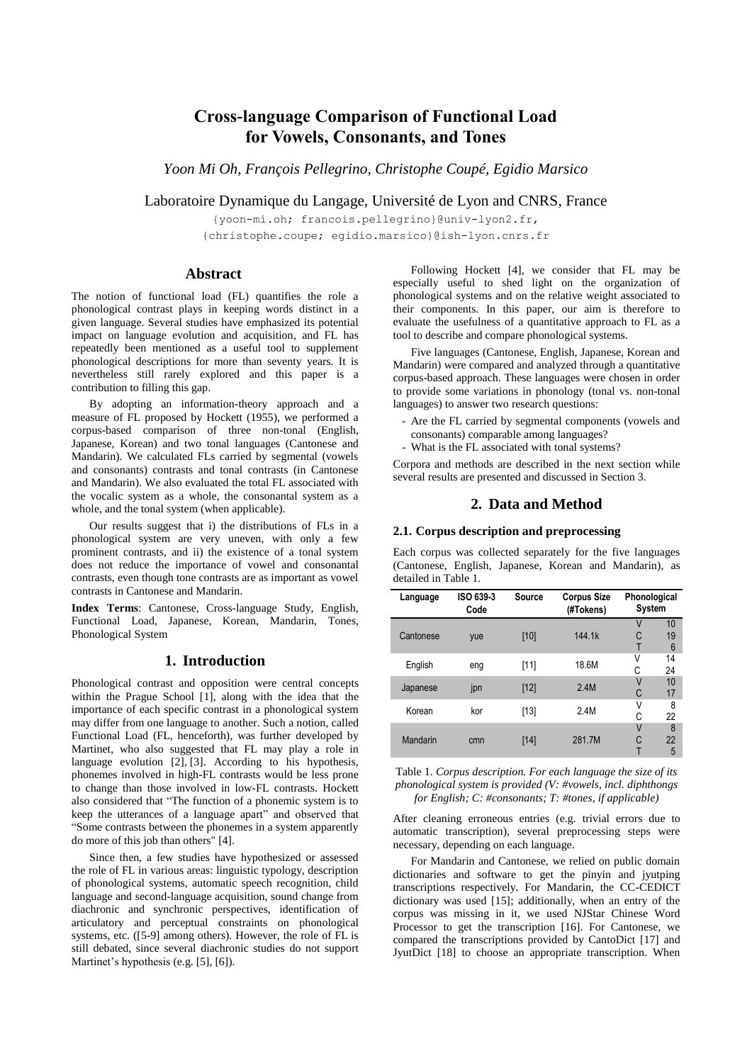# **Cross-language Comparison of Functional Load for Vowels, Consonants, and Tones**

*Yoon Mi Oh, François Pellegrino, Christophe Coupé, Egidio Marsico*

Laboratoire Dynamique du Langage, Université de Lyon and CNRS, France

{yoon-mi.oh; francois.pellegrino}@univ-lyon2.fr, {christophe.coupe; egidio.marsico}@ish-lyon.cnrs.fr

## **Abstract**

The notion of functional load (FL) quantifies the role a phonological contrast plays in keeping words distinct in a given language. Several studies have emphasized its potential impact on language evolution and acquisition, and FL has repeatedly been mentioned as a useful tool to supplement phonological descriptions for more than seventy years. It is nevertheless still rarely explored and this paper is a contribution to filling this gap.

By adopting an information-theory approach and a measure of FL proposed by Hockett (1955), we performed a corpus-based comparison of three non-tonal (English, Japanese, Korean) and two tonal languages (Cantonese and Mandarin). We calculated FLs carried by segmental (vowels and consonants) contrasts and tonal contrasts (in Cantonese and Mandarin). We also evaluated the total FL associated with the vocalic system as a whole, the consonantal system as a whole, and the tonal system (when applicable).

Our results suggest that i) the distributions of FLs in a phonological system are very uneven, with only a few prominent contrasts, and ii) the existence of a tonal system does not reduce the importance of vowel and consonantal contrasts, even though tone contrasts are as important as vowel contrasts in Cantonese and Mandarin.

**Index Terms**: Cantonese, Cross-language Study, English, Functional Load, Japanese, Korean, Mandarin, Tones, Phonological System

## **1. Introduction**

Phonological contrast and opposition were central concepts within the Prague School [\[1\],](#page-4-0) along with the idea that the importance of each specific contrast in a phonological system may differ from one language to another. Such a notion, called Functional Load (FL, henceforth), was further developed by Martinet, who also suggested that FL may play a role in language evolution [\[2\],](#page-4-1) [\[3\].](#page-4-2) According to his hypothesis, phonemes involved in high-FL contrasts would be less prone to change than those involved in low-FL contrasts. Hockett also considered that "The function of a phonemic system is to keep the utterances of a language apart" and observed that "Some contrasts between the phonemes in a system apparently do more of this job than others" [\[4\].](#page-4-3)

Since then, a few studies have hypothesized or assessed the role of FL in various areas: linguistic typology, description of phonological systems, automatic speech recognition, child language and second-language acquisition, sound change from diachronic and synchronic perspectives, identification of articulatory and perceptual constraints on phonological systems, etc. ([5-9] among others). However, the role of FL is still debated, since several diachronic studies do not support Martinet's hypothesis (e.g[. \[5\],](#page-4-4) [\[6\]\)](#page-4-5).

Following Hockett [\[4\],](#page-4-3) we consider that FL may be especially useful to shed light on the organization of phonological systems and on the relative weight associated to their components. In this paper, our aim is therefore to evaluate the usefulness of a quantitative approach to FL as a tool to describe and compare phonological systems.

Five languages (Cantonese, English, Japanese, Korean and Mandarin) were compared and analyzed through a quantitative corpus-based approach. These languages were chosen in order to provide some variations in phonology (tonal vs. non-tonal languages) to answer two research questions:

- Are the FL carried by segmental components (vowels and consonants) comparable among languages?
- What is the FL associated with tonal systems?

Corpora and methods are described in the next section while several results are presented and discussed in Section 3.

## **2. Data and Method**

## **2.1. Corpus description and preprocessing**

Each corpus was collected separately for the five languages (Cantonese, English, Japanese, Korean and Mandarin), as detailed in Table 1.

| Language  | ISO 639-3<br>Code | Source | <b>Corpus Size</b><br>(#Tokens) | Phonological<br><b>System</b> |                             |
|-----------|-------------------|--------|---------------------------------|-------------------------------|-----------------------------|
| Cantonese | yue               | [10]   | 144 1k                          | V<br>C<br>т                   | 10<br>19<br>$6\phantom{1}6$ |
| English   | eng               | [11]   | 18.6M                           | ٧<br>С                        | 14<br>24                    |
| Japanese  | jpn               | [12]   | 2.4M                            | V<br>C                        | 10<br>17                    |
| Korean    | kor               | [13]   | 2.4M                            | ٧<br>С                        | 8<br>22                     |
| Mandarin  | cmn               | [14]   | 281.7M                          | $\vee$<br>C                   | 8<br>22<br>5                |

Table 1. *Corpus description. For each language the size of its phonological system is provided (V: #vowels, incl. diphthongs for English; C: #consonants; T: #tones, if applicable)*

After cleaning erroneous entries (e.g. trivial errors due to automatic transcription), several preprocessing steps were necessary, depending on each language.

For Mandarin and Cantonese, we relied on public domain dictionaries and software to get the pinyin and jyutping transcriptions respectively. For Mandarin, the CC-CEDICT dictionary was used [\[15\];](#page-4-11) additionally, when an entry of the corpus was missing in it, we used NJStar Chinese Word Processor to get the transcription [\[16\].](#page-4-12) For Cantonese, we compared the transcriptions provided by CantoDict [\[17\]](#page-4-13) and JyutDict [\[18\]](#page-4-14) to choose an appropriate transcription. When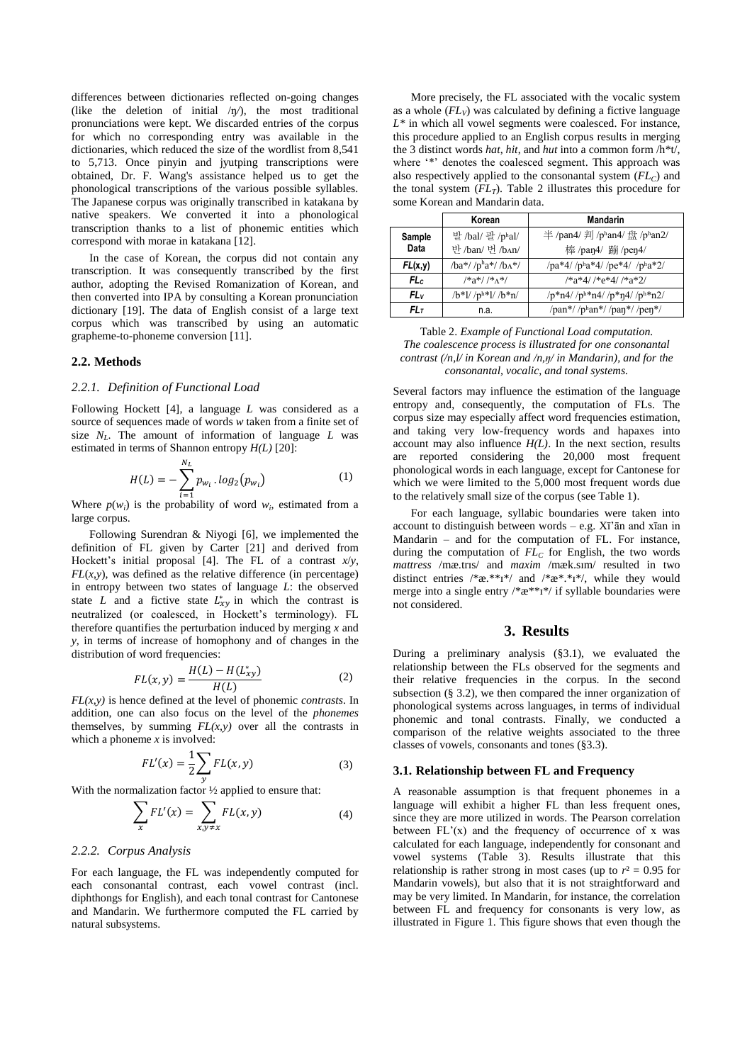differences between dictionaries reflected on-going changes (like the deletion of initial  $/\eta$ ), the most traditional pronunciations were kept. We discarded entries of the corpus for which no corresponding entry was available in the dictionaries, which reduced the size of the wordlist from 8,541 to 5,713. Once pinyin and jyutping transcriptions were obtained, Dr. F. Wang's assistance helped us to get the phonological transcriptions of the various possible syllables. The Japanese corpus was originally transcribed in katakana by native speakers. We converted it into a phonological transcription thanks to a list of phonemic entities which correspond with morae in katakana [\[12\].](#page-4-8)

In the case of Korean, the corpus did not contain any transcription. It was consequently transcribed by the first author, adopting the Revised Romanization of Korean, and then converted into IPA by consulting a Korean pronunciation dictionary [\[19\].](#page-4-15) The data of English consist of a large text corpus which was transcribed by using an automatic grapheme-to-phoneme conversion [\[11\].](#page-4-7)

#### **2.2. Methods**

#### *2.2.1. Definition of Functional Load*

Following Hockett [\[4\],](#page-4-3) a language *L* was considered as a source of sequences made of words *w* taken from a finite set of size *NL*. The amount of information of language *L* was estimated in terms of Shannon entropy *H(L)* [\[20\]:](#page-4-16)

$$
H(L) = -\sum_{i=1}^{N_L} p_{w_i} \cdot \log_2(p_{w_i})
$$
 (1)

Where  $p(w_i)$  is the probability of word  $w_i$ , estimated from a large corpus.

Following Surendran & Niyogi [\[6\],](#page-4-5) we implemented the definition of FL given by Carter [\[21\]](#page-4-17) and derived from Hockett's initial proposal [\[4\].](#page-4-3) The FL of a contrast *x*/*y*,  $FL(x,y)$ , was defined as the relative difference (in percentage) in entropy between two states of language *L*: the observed state L and a fictive state  $L_{xy}^*$  in which the contrast is neutralized (or coalesced, in Hockett's terminology). FL therefore quantifies the perturbation induced by merging *x* and *y*, in terms of increase of homophony and of changes in the distribution of word frequencies:

$$
FL(x, y) = \frac{H(L) - H(L_{xy}^{*})}{H(L)}
$$
 (2)

*FL(x,y)* is hence defined at the level of phonemic *contrasts*. In addition, one can also focus on the level of the *phonemes* themselves, by summing  $FL(x, y)$  over all the contrasts in which a phoneme *x* is involved:

$$
FL'(x) = \frac{1}{2} \sum_{y} FL(x, y) \tag{3}
$$

With the normalization factor  $\frac{1}{2}$  applied to ensure that:

$$
\sum_{x} FL'(x) = \sum_{x,y \neq x} FL(x,y) \tag{4}
$$

### *2.2.2. Corpus Analysis*

For each language, the FL was independently computed for each consonantal contrast, each vowel contrast (incl. diphthongs for English), and each tonal contrast for Cantonese and Mandarin. We furthermore computed the FL carried by natural subsystems.

More precisely, the FL associated with the vocalic system as a whole  $(FL_V)$  was calculated by defining a fictive language *L\** in which all vowel segments were coalesced. For instance, this procedure applied to an English corpus results in merging the 3 distinct words *hat*, *hit*, and *hut* into a common form /h\*t/, where '\*' denotes the coalesced segment. This approach was also respectively applied to the consonantal system  $(FL<sub>C</sub>)$  and the tonal system  $(FL_T)$ . Table 2 illustrates this procedure for some Korean and Mandarin data.

|                | Korean                            | <b>Mandarin</b>                                     |
|----------------|-----------------------------------|-----------------------------------------------------|
| Sample<br>Data | 발/bal/ 팔/phal/<br>반 /ban/ 번 /bʌn/ | 半/pan4/ 判 /phan4/ 盘 /phan2/<br>棒 /pan4/ 蹦 /pen4/    |
| FL(x,y)        | $/ba*//p^ha*//b^A*/$              | $/pa*4//p^ha*4//pe*4//p^ha*2/$                      |
| FLc            | $/*a*//*A*/$                      | $/*a*4//*e*4//*a*2/$                                |
| FLv            | $/b*1/ p h*1 /b*n/$               | $/p * n4$ / $/p h * n4$ / $/p * n4$ / $/p h * n2$ / |
| $FL_{T}$       | n.a.                              | /pan*//phan*//pan*//pen*/                           |

Table 2. *Example of Functional Load computation. The coalescence process is illustrated for one consonantal contrast (/n,l/ in Korean and /n,ŋ/ in Mandarin), and for the consonantal, vocalic, and tonal systems.*

Several factors may influence the estimation of the language entropy and, consequently, the computation of FLs. The corpus size may especially affect word frequencies estimation, and taking very low-frequency words and hapaxes into account may also influence  $H(L)$ . In the next section, results are reported considering the 20,000 most frequent phonological words in each language, except for Cantonese for which we were limited to the 5,000 most frequent words due to the relatively small size of the corpus (see Table 1).

For each language, syllabic boundaries were taken into account to distinguish between words – e.g. Xī'ān and xīan in Mandarin – and for the computation of FL. For instance, during the computation of  $FL_C$  for English, the two words *mattress* /mæ.trɪs/ and *maxim* /mæk.sɪm/ resulted in two distinct entries  $/*x.*^*i*/$  and  $/*x.*^*i*/$ , while they would merge into a single entry /\*æ\*\*ɪ\*/ if syllable boundaries were not considered.

## **3. Results**

During a preliminary analysis (§3.1), we evaluated the relationship between the FLs observed for the segments and their relative frequencies in the corpus. In the second subsection (§ 3.2), we then compared the inner organization of phonological systems across languages, in terms of individual phonemic and tonal contrasts. Finally, we conducted a comparison of the relative weights associated to the three classes of vowels, consonants and tones (§3.3).

#### **3.1. Relationship between FL and Frequency**

A reasonable assumption is that frequent phonemes in a language will exhibit a higher FL than less frequent ones, since they are more utilized in words. The Pearson correlation between  $FL'(x)$  and the frequency of occurrence of x was calculated for each language, independently for consonant and vowel systems (Table 3). Results illustrate that this relationship is rather strong in most cases (up to  $r^2 = 0.95$  for Mandarin vowels), but also that it is not straightforward and may be very limited. In Mandarin, for instance, the correlation between FL and frequency for consonants is very low, as illustrated in Figure 1. This figure shows that even though the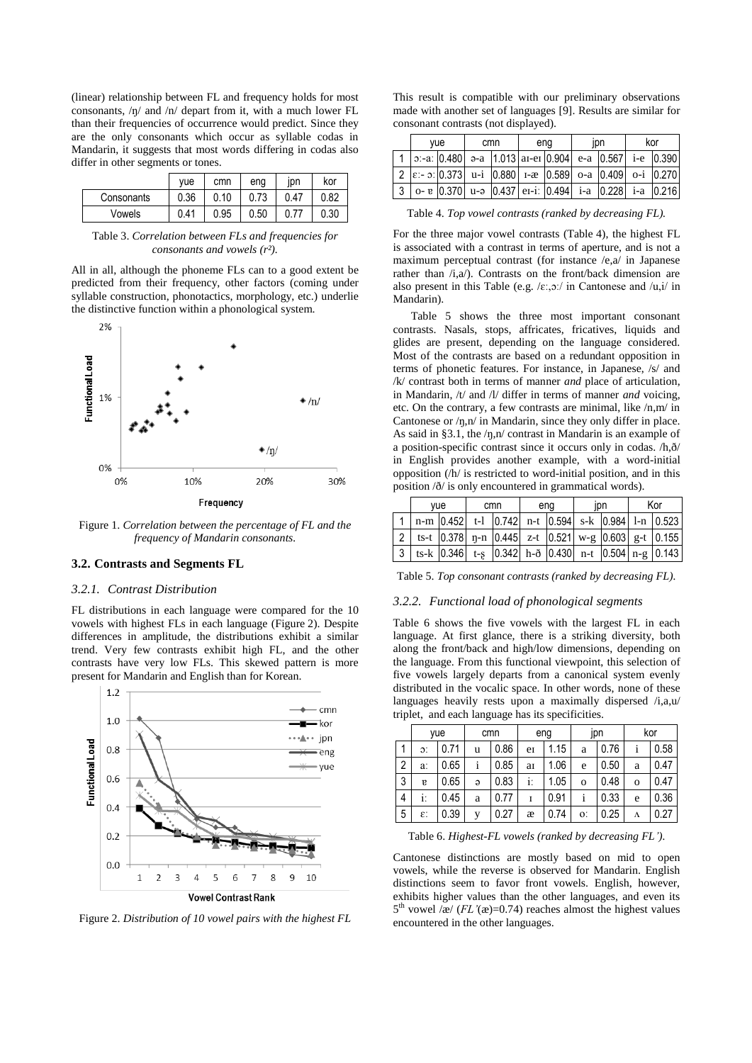(linear) relationship between FL and frequency holds for most consonants, /ŋ/ and /n/ depart from it, with a much lower FL than their frequencies of occurrence would predict. Since they are the only consonants which occur as syllable codas in Mandarin, it suggests that most words differing in codas also differ in other segments or tones.

|            | vue  | cmn  | eng  | ıpn  | kor  |
|------------|------|------|------|------|------|
| Consonants | 0.36 | 0.10 | 0.73 | 0.47 | 0.82 |
| Vowels     | 0.41 | 0.95 | 0.50 |      | 0.30 |

Table 3. *Correlation between FLs and frequencies for consonants and vowels (r²).*

All in all, although the phoneme FLs can to a good extent be predicted from their frequency, other factors (coming under syllable construction, phonotactics, morphology, etc.) underlie the distinctive function within a phonological system.



Figure 1. *Correlation between the percentage of FL and the frequency of Mandarin consonants.*

### **3.2. Contrasts and Segments FL**

#### *3.2.1. Contrast Distribution*

FL distributions in each language were compared for the 10 vowels with highest FLs in each language (Figure 2). Despite differences in amplitude, the distributions exhibit a similar trend. Very few contrasts exhibit high FL, and the other contrasts have very low FLs. This skewed pattern is more present for Mandarin and English than for Korean.



Figure 2. *Distribution of 10 vowel pairs with the highest FL*

This result is compatible with our preliminary observations made with another set of language[s \[9\].](#page-4-18) Results are similar for consonant contrasts (not displayed).

| vue |                                                                                                                               | cmn |  | ena |  | ipn |  | kor |  |
|-----|-------------------------------------------------------------------------------------------------------------------------------|-----|--|-----|--|-----|--|-----|--|
|     | 1   $\sigma$ :-a: $\vert 0.480 \vert$ a-a   1.013   ai-ei $\vert 0.904 \vert$ e-a $\vert 0.567 \vert$ i-e $\vert 0.390 \vert$ |     |  |     |  |     |  |     |  |
|     | $2 \leq \frac{1}{2}$   $\leq$ 0.373   u-i $\leq$ 0.880   1- $\in$ 0.589   0-a $\leq$ 0.409   0-i $\leq$ 0.270                 |     |  |     |  |     |  |     |  |
|     | $3 \vert$ 0- $\frac{1}{2}$   0.370   u-ə   0.437   e1-i:   0.494   i-a   0.228   i-a   0.216                                  |     |  |     |  |     |  |     |  |

Table 4. *Top vowel contrasts (ranked by decreasing FL).*

For the three major vowel contrasts (Table 4), the highest FL is associated with a contrast in terms of aperture, and is not a maximum perceptual contrast (for instance /e,a/ in Japanese rather than  $/i$ ,a $/$ ). Contrasts on the front/back dimension are also present in this Table (e.g.  $/\varepsilon$ :, $\sigma$ :/ in Cantonese and  $/u$ , $i/$  in Mandarin).

Table 5 shows the three most important consonant contrasts. Nasals, stops, affricates, fricatives, liquids and glides are present, depending on the language considered. Most of the contrasts are based on a redundant opposition in terms of phonetic features. For instance, in Japanese, /s/ and /k/ contrast both in terms of manner *and* place of articulation, in Mandarin, /t/ and /l/ differ in terms of manner *and* voicing, etc. On the contrary, a few contrasts are minimal, like /n,m/ in Cantonese or /ŋ,n/ in Mandarin, since they only differ in place. As said in §3.1, the /ŋ,n/ contrast in Mandarin is an example of a position-specific contrast since it occurs only in codas. /h,ð/ in English provides another example, with a word-initial opposition (/h/ is restricted to word-initial position, and in this position /ð/ is only encountered in grammatical words).

| vue |  | cmn |  | ena |  | ıpn |  | Kor |                                                                                                                                                                |
|-----|--|-----|--|-----|--|-----|--|-----|----------------------------------------------------------------------------------------------------------------------------------------------------------------|
|     |  |     |  |     |  |     |  |     | n-m $\begin{vmatrix} 0.452 & t-1 \\ 0.742 & n-t \\ 0.594 & s-k \\ 0.984 & 1-n \\ 0.523 \end{vmatrix}$                                                          |
|     |  |     |  |     |  |     |  |     | 2   ts-t $\begin{vmatrix} 0.378 & \text{n-n} & \text{n-}445 & \text{z-t} & \text{n-}521 & \text{w-g} & \text{n-}603 & \text{g-t} & \text{n-}155 \end{vmatrix}$ |
|     |  |     |  |     |  |     |  |     | 3   ts-k   0.346   t-g   0.342   h-ð   0.430   n-t   0.504   n-g   0.143                                                                                       |

Table 5. *Top consonant contrasts (ranked by decreasing FL).*

### *3.2.2. Functional load of phonological segments*

Table 6 shows the five vowels with the largest FL in each language. At first glance, there is a striking diversity, both along the front/back and high/low dimensions, depending on the language. From this functional viewpoint, this selection of five vowels largely departs from a canonical system evenly distributed in the vocalic space. In other words, none of these languages heavily rests upon a maximally dispersed  $/i$ ,a,u/ triplet, and each language has its specificities.

|                | yue              |      | cmn      |      | eng |      | jpn         |      | kor         |      |
|----------------|------------------|------|----------|------|-----|------|-------------|------|-------------|------|
| 1              | $\mathfrak{D}$ : | 0.71 | u        | 0.86 | e   | 1.15 | a           | 0.76 | i           | 0.58 |
| $\overline{2}$ | a:               | 0.65 |          | 0.85 | aI  | 1.06 | e           | 0.50 | a           | 0.47 |
| 3              | g                | 0.65 | $\Theta$ | 0.83 | i:  | 1.05 | $\mathbf 0$ | 0.48 | $\mathbf 0$ | 0.47 |
| 4              | i:               | 0.45 | a        | 0.77 | I   | 0.91 | i           | 0.33 | e           | 0.36 |
| 5              | £.               | 0.39 | v        | 0.27 | æ   | 0.74 | 0:          | 0.25 | Λ           | 0.27 |

Table 6. *Highest-FL vowels (ranked by decreasing FL').*

Cantonese distinctions are mostly based on mid to open vowels, while the reverse is observed for Mandarin. English distinctions seem to favor front vowels. English, however, exhibits higher values than the other languages, and even its  $5<sup>th</sup>$  vowel /æ/ (*FL'*(æ)=0.74) reaches almost the highest values encountered in the other languages.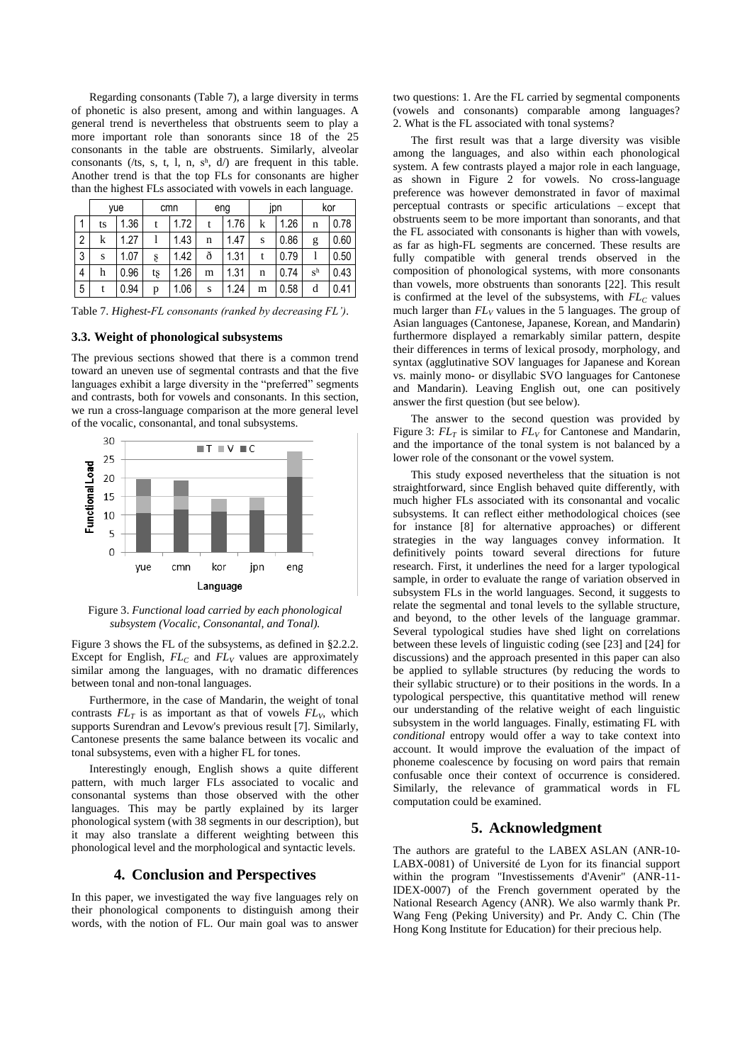Regarding consonants (Table 7), a large diversity in terms of phonetic is also present, among and within languages. A general trend is nevertheless that obstruents seem to play a more important role than sonorants since 18 of the 25 consonants in the table are obstruents. Similarly, alveolar consonants (/ts, s, t, l, n, sh, d/) are frequent in this table. Another trend is that the top FLs for consonants are higher than the highest FLs associated with vowels in each language.

|                | yue |      | cmn |      | eng |      | jpn |      | kor   |      |
|----------------|-----|------|-----|------|-----|------|-----|------|-------|------|
| 1              | ts  | 1.36 |     | 1.72 |     | 1.76 | k   | 1.26 | n     | 0.78 |
| $\overline{2}$ | k   | 1.27 |     | 1.43 | n   | 1.47 | S   | 0.86 | g     | 0.60 |
| 3              | S   | 1.07 | ş   | 1.42 | ð   | 1.31 |     | 0.79 |       | 0.50 |
| $\overline{4}$ | h   | 0.96 | tş  | 1.26 | m   | 1.31 | n   | 0.74 | $S^h$ | 0.43 |
| 5              |     | 0.94 | p   | 1.06 | S   | 1.24 | m   | 0.58 | d     | 0.41 |

Table 7. *Highest-FL consonants (ranked by decreasing FL').*

### **3.3. Weight of phonological subsystems**

The previous sections showed that there is a common trend toward an uneven use of segmental contrasts and that the five languages exhibit a large diversity in the "preferred" segments and contrasts, both for vowels and consonants. In this section, we run a cross-language comparison at the more general level of the vocalic, consonantal, and tonal subsystems.



Figure 3. *Functional load carried by each phonological subsystem (Vocalic, Consonantal, and Tonal).*

Figure 3 shows the FL of the subsystems, as defined in §2.2.2. Except for English, *FL<sup>C</sup>* and *FL<sup>V</sup>* values are approximately similar among the languages, with no dramatic differences between tonal and non-tonal languages.

Furthermore, in the case of Mandarin, the weight of tonal contrasts  $FL_T$  is as important as that of vowels  $FL_V$ , which supports Surendran and Levow's previous result [\[7\].](#page-4-19) Similarly, Cantonese presents the same balance between its vocalic and tonal subsystems, even with a higher FL for tones.

Interestingly enough, English shows a quite different pattern, with much larger FLs associated to vocalic and consonantal systems than those observed with the other languages. This may be partly explained by its larger phonological system (with 38 segments in our description), but it may also translate a different weighting between this phonological level and the morphological and syntactic levels.

## **4. Conclusion and Perspectives**

In this paper, we investigated the way five languages rely on their phonological components to distinguish among their words, with the notion of FL. Our main goal was to answer two questions: 1. Are the FL carried by segmental components (vowels and consonants) comparable among languages? 2. What is the FL associated with tonal systems?

The first result was that a large diversity was visible among the languages, and also within each phonological system. A few contrasts played a major role in each language, as shown in Figure 2 for vowels. No cross-language preference was however demonstrated in favor of maximal perceptual contrasts or specific articulations – except that obstruents seem to be more important than sonorants, and that the FL associated with consonants is higher than with vowels, as far as high-FL segments are concerned. These results are fully compatible with general trends observed in the composition of phonological systems, with more consonants than vowels, more obstruents than sonorants [\[22\].](#page-4-20) This result is confirmed at the level of the subsystems, with *FL<sup>C</sup>* values much larger than  $FL_V$  values in the 5 languages. The group of Asian languages (Cantonese, Japanese, Korean, and Mandarin) furthermore displayed a remarkably similar pattern, despite their differences in terms of lexical prosody, morphology, and syntax (agglutinative SOV languages for Japanese and Korean vs. mainly mono- or disyllabic SVO languages for Cantonese and Mandarin). Leaving English out, one can positively answer the first question (but see below).

The answer to the second question was provided by Figure 3:  $FL_T$  is similar to  $FL_V$  for Cantonese and Mandarin, and the importance of the tonal system is not balanced by a lower role of the consonant or the vowel system.

This study exposed nevertheless that the situation is not straightforward, since English behaved quite differently, with much higher FLs associated with its consonantal and vocalic subsystems. It can reflect either methodological choices (see for instance [\[8\]](#page-4-21) for alternative approaches) or different strategies in the way languages convey information. It definitively points toward several directions for future research. First, it underlines the need for a larger typological sample, in order to evaluate the range of variation observed in subsystem FLs in the world languages. Second, it suggests to relate the segmental and tonal levels to the syllable structure, and beyond, to the other levels of the language grammar. Several typological studies have shed light on correlations between these levels of linguistic coding (see [\[23\]](#page-4-22) an[d \[24\]](#page-4-23) for discussions) and the approach presented in this paper can also be applied to syllable structures (by reducing the words to their syllabic structure) or to their positions in the words. In a typological perspective, this quantitative method will renew our understanding of the relative weight of each linguistic subsystem in the world languages. Finally, estimating FL with *conditional* entropy would offer a way to take context into account. It would improve the evaluation of the impact of phoneme coalescence by focusing on word pairs that remain confusable once their context of occurrence is considered. Similarly, the relevance of grammatical words in FL computation could be examined.

## **5. Acknowledgment**

The authors are grateful to the LABEX ASLAN (ANR-10- LABX-0081) of Université de Lyon for its financial support within the program "Investissements d'Avenir" (ANR-11- IDEX-0007) of the French government operated by the National Research Agency (ANR). We also warmly thank Pr. Wang Feng (Peking University) and Pr. Andy C. Chin (The Hong Kong Institute for Education) for their precious help.